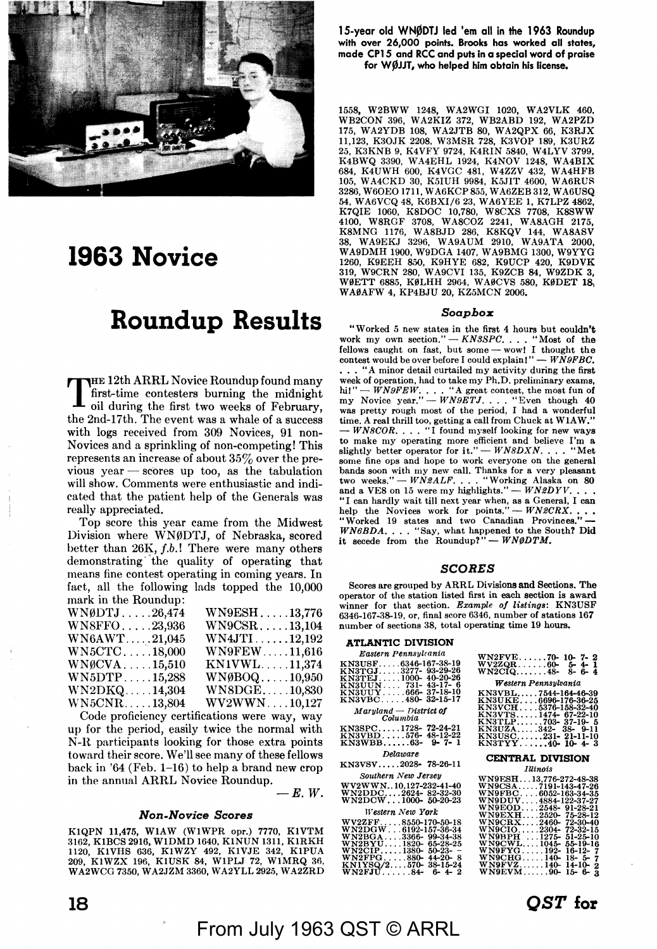

# **1963 Novice**

# **Roundup Results**

THE 12th **ARRL** Novice Roundup found many first-time contesters burning the midnight oil during the first two weeks of February, the 2nd-17th. The event was a whale of a success with logs received from 309 Novices, 91 non-Novices and a sprinkling of non-competing! This represents an increase of about 35% over the previous year  $-$  scores up too, as the tabulation will show. Comments were enthusiastic and indicated that the patient help of the Generals was really appreciated.

Top score this year came from the Midwest Division where WN0DTJ, of Nebraska, scored better than 26K, *f.b.*! There were many others demonstrating· the quality of operating that means fine contest operating in coming years. In fart, all the following lads topped the 10,000 mark in the Roundup:

| $W\ N\emptyset DTJ\ldots 26,474$ | WN9ESH13,776                    |
|----------------------------------|---------------------------------|
| WNSFFO23,936                     | $WN9CSR. \ldots .13,104$        |
| WN6AWT21,045                     | $WN4JTI \ldots \ldots 12,192$   |
| $WN5CTC$ $18,000$                | <b>WN9FEW11,616</b>             |
| $WNGCVA$ 15,510                  | KN1VWL11,374                    |
| $WN5DTP \ldots \ldots 15,288$    | $WN\emptyset BOQ \ldots 10,950$ |
| $WN2DKQ \ldots 14,304$           | WN8DGE10,830                    |
| $WN5\text{CNR} \dots 13,804$     | $WV2WWN\ldots 10,127$           |
|                                  |                                 |

Code proficiency certifications were way, way up for the period, easily twice the normal with N-R participants looking for those extra points toward their score. We'll see many of these fellows back in '64 (Feb. 1-16) to help a brand new crop in the annual ARRL Novice Roundup.  $-E.$  W.

#### *Non-Novice Scores*

KlQPN 11,475, WlAW (WlWPR opr.) 7770, KlVTM 3162, KlBCS 2916, WlDMD 1640, KlNUN 1311, KlRKH 1120, K1VHS 636, K1WZY 492, K1VJE 342, K1PUA<br>209, K1WZX 196, K1USK 84, W1PLJ 72, W1MRQ 36,<br>WA2WCG 7350,WA2JZM 3360,WA2YLL 2925,WA2ZRD 15-year old WNØDTJ led 'em all in the 1963 Roundup **with over 26,000 points. Brooks has worked all states, made CPl 5 and RCC and puts in a special word of praise for WjllJJT, who helped him obtain his license.** 

1558, W2BWW 1248, WA2WGI 1020, WA2VLK 460, WB2CON 396, W A2KIZ 372, WB2ABD 192, W A2PZD 175, WA2YDB 108, WA2JTB 80, WA2QPX 66, K3RJX 11,123, K30JK 2208, W3MSR 728, K3VOP 189, K3URZ 25, K3KNB 9, K4VFY 9724, K4RIN 5840, W4LYV 3799, K4BWQ 3390, WA4EHL 1924, K4NOV 1248, WA4BIX<br>684, K4UWH 600, K4VGC 481, W4ZZV 432, WA4HFB<br>105, WA4CKD 30, K5IUH 9984, K5JIT 4600, WA6RUS<br>3286, W6OEO 1711, WA6KCP 855, WA6ZEB 312, WA6USQ 54, WA6VCQ 48, K6BXI/6 23, WA6YEE 1, K7LPZ 4862. K7QIE 1060, K8DOC 10,780, W8CXS 7708, K8SWW 4100, W8RGF 3708, WA8COZ 2241, WA8AGH 2175, K8MNG 1176, WA8BJD 286, K8KQV 144, WA8ASV 38, WA9EKJ 3296, WA9AUM 2910, WA9ATA 2000, W A9DMH 1900, W9DGA 1407, W A9BMG 1300, W9YYG 1260, K9EEH 850, K9HYE 682, K9UCP 420, K9DVK 319, W9CRN 280, W A9CVI 135, K9ZCB 84, W9ZDK 3, W0ETT 6885, K0LHH 2964, W A0CVS 580, K0DET **18,**  W A0AFW 4, KP4BJU 20, KZ5MCN 2006.

#### *Soapbox*

"Worked 5 new states in the first 4 hours but couldn't work my own section." - *KN3SPC.* . . . "Most of the fellows caught on fast, but some — wow! I thought the contest would be over before I could explain!" — *WN9FBC*. . . . "A minor detail curtailed my activity during the first week of operation, had to take my Ph.D. preliminary exams, hi!" — *WN9FEW*. . . . "A great contest, the most fun of my Novice year." — *WN9ETJ*. . . . "Even though 40 was pretty rough most of the period, I had a wonderful time. A real thrill too, getting a call from Chuck at WlAW," - *WNBCOR .* ... "I found myself looking for new ways to make my operating more efficient and believe I'm a slightly better operator for it." - *WNBDXN .* ... "Met some fine ops and hope to work everyone on the general bands soon with my new call. Thanks for a very pleasant two weeks." — *WN2ALF*. . . . "Working Alaska on 80 and a VE8 on 15 were my highlights."  $-WN2DYV$ ... "I can hardly wait till next year when, as a General, I can help the Novices work for points." - *WN2CRX.* , , • "Worked 19 states and two Canadian Provinces." - *WN6BDA.* ... "Say, what happened to the South? Did it secede from the Roundup?" - *WN0DTM*.

#### *SCORES*

Scores are grouped by ARRL Divisions and Sections. The operator of the station listed first in each section is award winner for that section. *Example of listings:* KN3USF 6346-167-38-19, or, final score 6346, number of stations 167 number of sections 38, total operating time 19 hours.

## **ATLANTIC DIVISION**

| Eastern Pennsylvania                                                                                                     | WN2FVE70-10-7-2                                                                                                                                      |
|--------------------------------------------------------------------------------------------------------------------------|------------------------------------------------------------------------------------------------------------------------------------------------------|
| KN3USF6346-167-38-19                                                                                                     | $WV2ZQR60-5-4-1$                                                                                                                                     |
| KN3TGJ3277--93-29-26                                                                                                     | $W N2CIQ138 - 8 - 6 - 4$                                                                                                                             |
| KN3TEJ1000-40-20-26                                                                                                      | Western Pennsylvania                                                                                                                                 |
| KN3UUN 731- 43-17- 6                                                                                                     | KN3VBL7544-164-46-39                                                                                                                                 |
| KN3UUY666- 37-18-10                                                                                                      | KN3UKE6696-176-36-25                                                                                                                                 |
| KN3VBC480-32-15-17                                                                                                       | KN3VCH5376-158-32-40                                                                                                                                 |
| $Maryland - District of$                                                                                                 | KN3VTS1474- 67-22-10                                                                                                                                 |
| Columbia                                                                                                                 | KN3TLP703- 37-19- 5                                                                                                                                  |
| KN3SPC1728- <b>72-24-21</b>                                                                                              | KN3UZA342-38-9-11                                                                                                                                    |
| KN3VBD576-48-12-22                                                                                                       | KN3USC231- 21-11-10                                                                                                                                  |
| KN3WBB63- 9-7-1                                                                                                          | $KN3TYY40-10-4-3$                                                                                                                                    |
| Delaware                                                                                                                 | <b>CENTRAL DIVISION</b>                                                                                                                              |
| KN3VSV2028- 78-26-11                                                                                                     | Illinois                                                                                                                                             |
| Southern New Jersey<br><b>WV2WWN. 10.127-232-41-40</b><br>WN2DDC2624-82-32-30<br>WN2DCW1000-50-20-23<br>Western New York | WN9ESH13,776-272-48-38<br>WN9CSA7191-143-47-26<br>WN9FBC 6052-163-34-35<br><b>WN9DUV4884-122-37-27</b><br>WN9EOD2548-91-28-21<br>WN9EXH2520-75-28-12 |
| WV2ZFF8550-170-50-18                                                                                                     | WN9CRX2460-72-30-40                                                                                                                                  |
| WN2DGW6192-157-36-34                                                                                                     | WN9CIO2304-72-32-15                                                                                                                                  |
| WN2BGA3366-99-34-38                                                                                                      | WN9BPH 1275-51-25-10                                                                                                                                 |
| WN2BYU1820-65-28-25                                                                                                      | WN9CWL1045-55-19-16                                                                                                                                  |
| $WN2CIP1380-50-23-$                                                                                                      | WN9FYG192- 16-12- 7                                                                                                                                  |
| WN2FPG880-44-20-8                                                                                                        | WN9CHG140-18-5-7                                                                                                                                     |
| $KN1YSQ/2570-38-15-24$                                                                                                   | WN9FVZ140-14-10-2                                                                                                                                    |
| $WN2FIU84-6-4-2$                                                                                                         | WN9EVM90-15-6-3                                                                                                                                      |

# From July 1963 QST © ARRL